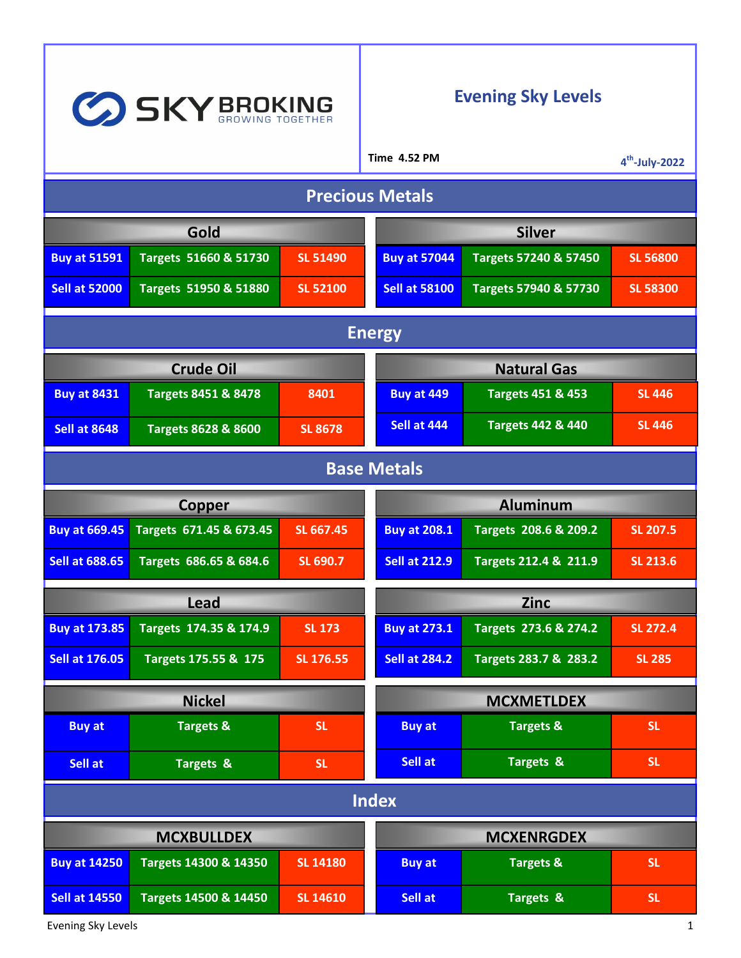| SKY BROKING            |                                |                 |  | <b>Evening Sky Levels</b> |                              |                  |  |
|------------------------|--------------------------------|-----------------|--|---------------------------|------------------------------|------------------|--|
|                        |                                |                 |  | <b>Time 4.52 PM</b>       |                              | $4th$ -July-2022 |  |
| <b>Precious Metals</b> |                                |                 |  |                           |                              |                  |  |
| Gold                   |                                |                 |  | <b>Silver</b>             |                              |                  |  |
| <b>Buy at 51591</b>    | Targets 51660 & 51730          | <b>SL 51490</b> |  | <b>Buy at 57044</b>       | Targets 57240 & 57450        | <b>SL 56800</b>  |  |
| <b>Sell at 52000</b>   | Targets 51950 & 51880          | <b>SL 52100</b> |  | <b>Sell at 58100</b>      | Targets 57940 & 57730        | <b>SL 58300</b>  |  |
| <b>Energy</b>          |                                |                 |  |                           |                              |                  |  |
| <b>Crude Oil</b>       |                                |                 |  | <b>Natural Gas</b>        |                              |                  |  |
| <b>Buy at 8431</b>     | <b>Targets 8451 &amp; 8478</b> | 8401            |  | <b>Buy at 449</b>         | <b>Targets 451 &amp; 453</b> | <b>SL 446</b>    |  |
| <b>Sell at 8648</b>    | <b>Targets 8628 &amp; 8600</b> | <b>SL 8678</b>  |  | Sell at 444               | <b>Targets 442 &amp; 440</b> | <b>SL 446</b>    |  |
| <b>Base Metals</b>     |                                |                 |  |                           |                              |                  |  |
| <b>Copper</b>          |                                |                 |  | <b>Aluminum</b>           |                              |                  |  |
| <b>Buy at 669.45</b>   | Targets 671.45 & 673.45        | SL 667.45       |  | <b>Buy at 208.1</b>       | Targets 208.6 & 209.2        | <b>SL 207.5</b>  |  |
| <b>Sell at 688.65</b>  | Targets 686.65 & 684.6         | SL 690.7        |  | <b>Sell at 212.9</b>      | Targets 212.4 & 211.9        | SL 213.6         |  |
| Lead                   |                                |                 |  | <b>Zinc</b>               |                              |                  |  |
| <b>Buy at 173.85</b>   | Targets 174.35 & 174.9         | <b>SL 173</b>   |  | <b>Buy at 273.1</b>       | Targets 273.6 & 274.2        | <b>SL 272.4</b>  |  |
| <b>Sell at 176.05</b>  | Targets 175.55 & 175           | SL 176.55       |  | <b>Sell at 284.2</b>      | Targets 283.7 & 283.2        | <b>SL 285</b>    |  |
| <b>Nickel</b>          |                                |                 |  | <b>MCXMETLDEX</b>         |                              |                  |  |
| <b>Buy at</b>          | <b>Targets &amp;</b>           | <b>SL</b>       |  | <b>Buy at</b>             | <b>Targets &amp;</b>         | <b>SL</b>        |  |
| Sell at                | Targets &                      | SL.             |  | Sell at                   | Targets &                    | <b>SL</b>        |  |
| <b>Index</b>           |                                |                 |  |                           |                              |                  |  |
| <b>MCXBULLDEX</b>      |                                |                 |  | <b>MCXENRGDEX</b>         |                              |                  |  |
| <b>Buy at 14250</b>    | Targets 14300 & 14350          | <b>SL 14180</b> |  | <b>Buy at</b>             | <b>Targets &amp;</b>         | <b>SL</b>        |  |
| <b>Sell at 14550</b>   | Targets 14500 & 14450          | <b>SL 14610</b> |  | Sell at                   | Targets &                    | <b>SL</b>        |  |